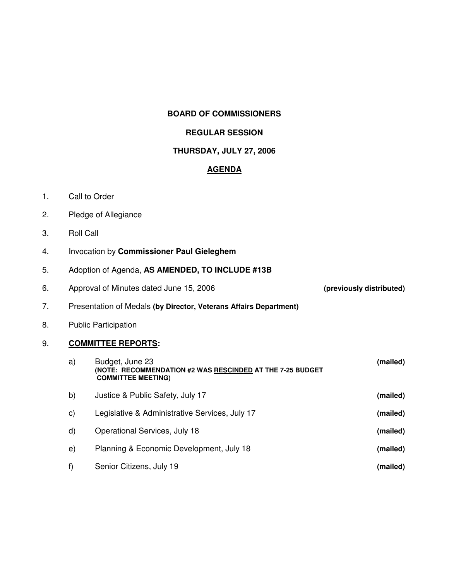### **BOARD OF COMMISSIONERS**

### **REGULAR SESSION**

# **THURSDAY, JULY 27, 2006**

## **AGENDA**

| 1. |  | Call to Order |
|----|--|---------------|
|----|--|---------------|

- 2. Pledge of Allegiance
- 3. Roll Call
- 4. Invocation by **Commissioner Paul Gieleghem**
- 5. Adoption of Agenda, **AS AMENDED, TO INCLUDE #13B**
- 6. Approval of Minutes dated June 15, 2006 **(previously distributed)**
- 7. Presentation of Medals **(by Director, Veterans Affairs Department)**
- 8. Public Participation

### 9. **COMMITTEE REPORTS:**

| a) | Budget, June 23<br>(NOTE: RECOMMENDATION #2 WAS RESCINDED AT THE 7-25 BUDGET<br><b>COMMITTEE MEETING)</b> | (mailed) |
|----|-----------------------------------------------------------------------------------------------------------|----------|
| b) | Justice & Public Safety, July 17                                                                          | (mailed) |
| C) | Legislative & Administrative Services, July 17                                                            | (mailed) |
| d) | Operational Services, July 18                                                                             | (mailed) |
| e) | Planning & Economic Development, July 18                                                                  | (mailed) |
| f) | Senior Citizens, July 19                                                                                  | (mailed) |